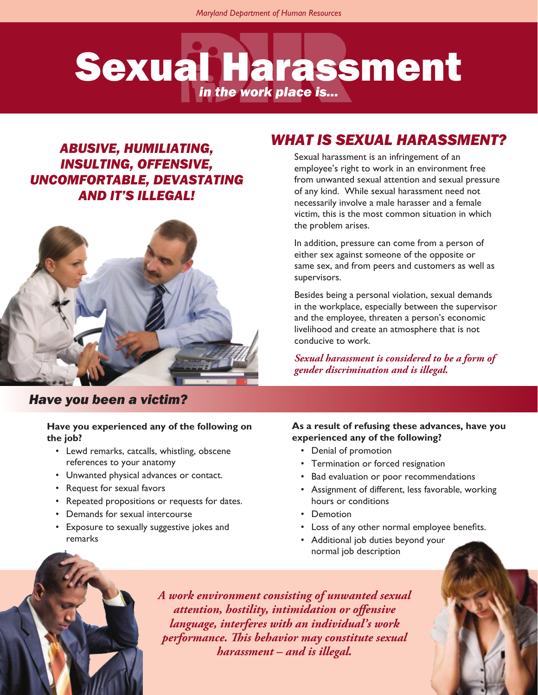# Sexual Harassment *in the work place is...*

# *ABUSIVE, HUMILIATING, INSULTING, OFFENSIVE, UNCOMFORTABLE, DEVASTATING AND IT'S ILLEGAL!*



#### *Have you been a victim?*

#### **Have you experienced any of the following on the job?**

- Lewd remarks, catcalls, whistling, obscene references to your anatomy
- Unwanted physical advances or contact.
- Request for sexual favors
- Repeated propositions or requests for dates.
- Demands for sexual intercourse
- Exposure to sexually suggestive jokes and remarks

# *WHAT IS SEXUAL HARASSMENT?*

Sexual harassment is an infringement of an employee's right to work in an environment free from unwanted sexual attention and sexual pressure of any kind. While sexual harassment need not necessarily involve a male harasser and a female victim, this is the most common situation in which the problem arises.

In addition, pressure can come from a person of either sex against someone of the opposite or same sex, and from peers and customers as well as supervisors.

Besides being a personal violation, sexual demands in the workplace, especially between the supervisor and the employee, threaten a person's economic livelihood and create an atmosphere that is not conducive to work.

*Sexual harassment is considered to be a form of gender discrimination and is illegal.*

#### **As a result of refusing these advances, have you experienced any of the following?**

- Denial of promotion
- Termination or forced resignation
- Bad evaluation or poor recommendations
- Assignment of different, less favorable, working hours or conditions
- Demotion
- Loss of any other normal employee benefits.
- Additional job duties beyond your normal job description

*A work environment consisting of unwanted sexual attention, hostility, intimidation or offensive language, interferes with an individual's work performance. This behavior may constitute sexual harassment – and is illegal.*